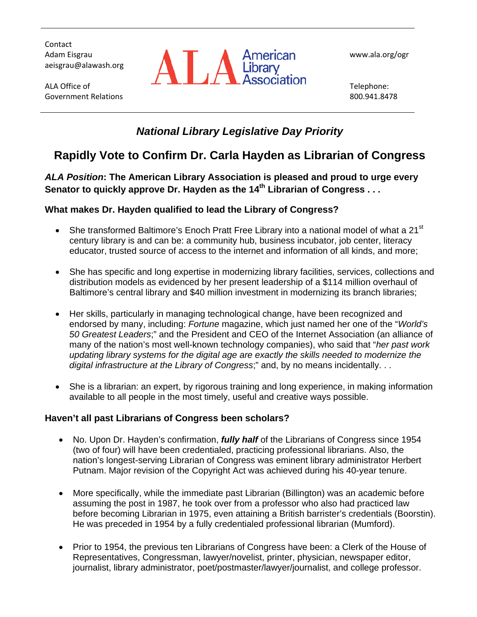**Contact** Adam Eisgrau aeisgrau@alawash.org

ALA Office of Government Relations



www.ala.org/ogr

Telephone: 800.941.8478

# *National Library Legislative Day Priority*

# **Rapidly Vote to Confirm Dr. Carla Hayden as Librarian of Congress**

*ALA Position***: The American Library Association is pleased and proud to urge every Senator to quickly approve Dr. Hayden as the 14th Librarian of Congress . . .**

### **What makes Dr. Hayden qualified to lead the Library of Congress?**

- She transformed Baltimore's Enoch Pratt Free Library into a national model of what a 21<sup>st</sup> century library is and can be: a community hub, business incubator, job center, literacy educator, trusted source of access to the internet and information of all kinds, and more;
- She has specific and long expertise in modernizing library facilities, services, collections and distribution models as evidenced by her present leadership of a \$114 million overhaul of Baltimore's central library and \$40 million investment in modernizing its branch libraries;
- Her skills, particularly in managing technological change, have been recognized and endorsed by many, including: *Fortune* magazine, which just named her one of the "*World's 50 Greatest Leaders*;" and the President and CEO of the Internet Association (an alliance of many of the nation's most well-known technology companies), who said that "*her past work updating library systems for the digital age are exactly the skills needed to modernize the digital infrastructure at the Library of Congress*;" and, by no means incidentally. . .
- She is a librarian: an expert, by rigorous training and long experience, in making information available to all people in the most timely, useful and creative ways possible.

### **Haven't all past Librarians of Congress been scholars?**

- No. Upon Dr. Hayden's confirmation, *fully half* of the Librarians of Congress since 1954 (two of four) will have been credentialed, practicing professional librarians. Also, the nation's longest-serving Librarian of Congress was eminent library administrator Herbert Putnam. Major revision of the Copyright Act was achieved during his 40-year tenure.
- More specifically, while the immediate past Librarian (Billington) was an academic before assuming the post in 1987, he took over from a professor who also had practiced law before becoming Librarian in 1975, even attaining a British barrister's credentials (Boorstin). He was preceded in 1954 by a fully credentialed professional librarian (Mumford).
- Prior to 1954, the previous ten Librarians of Congress have been: a Clerk of the House of Representatives, Congressman, lawyer/novelist, printer, physician, newspaper editor, journalist, library administrator, poet/postmaster/lawyer/journalist, and college professor.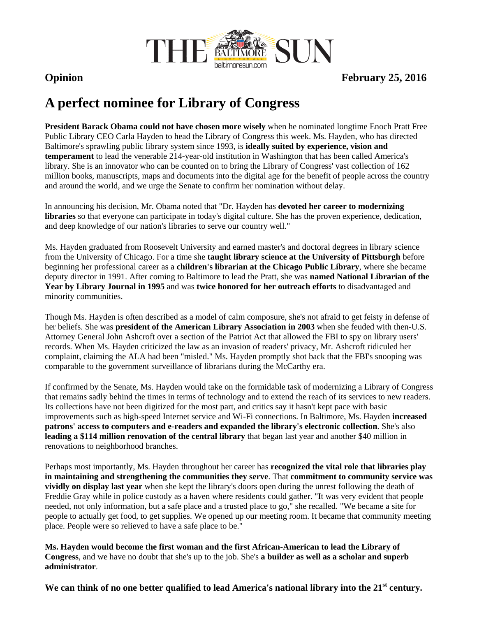

**Opinion** February 25, 2016

# **A perfect nominee for Library of Congress**

**President Barack Obama could not have chosen more wisely** when he nominated longtime Enoch Pratt Free Public Library CEO Carla Hayden to head the Library of Congress this week. Ms. Hayden, who has directed Baltimore's sprawling public library system since 1993, is **ideally suited by experience, vision and temperament** to lead the venerable 214-year-old institution in Washington that has been called America's library. She is an innovator who can be counted on to bring the Library of Congress' vast collection of 162 million books, manuscripts, maps and documents into the digital age for the benefit of people across the country and around the world, and we urge the Senate to confirm her nomination without delay.

In announcing his decision, Mr. Obama noted that "Dr. Hayden has **devoted her career to modernizing libraries** so that everyone can participate in today's digital culture. She has the proven experience, dedication, and deep knowledge of our nation's libraries to serve our country well."

Ms. Hayden graduated from Roosevelt University and earned master's and doctoral degrees in library science from the University of Chicago. For a time she **taught library science at the University of Pittsburgh** before beginning her professional career as a **children's librarian at the Chicago Public Library**, where she became deputy director in 1991. After coming to Baltimore to lead the Pratt, she was **named National Librarian of the Year by Library Journal in 1995** and was **twice honored for her outreach efforts** to disadvantaged and minority communities.

Though Ms. Hayden is often described as a model of calm composure, she's not afraid to get feisty in defense of her beliefs. She was **president of the American Library Association in 2003** when she feuded with then-U.S. Attorney General John Ashcroft over a section of the Patriot Act that allowed the FBI to spy on library users' records. When Ms. Hayden criticized the law as an invasion of readers' privacy, Mr. Ashcroft ridiculed her complaint, claiming the ALA had been "misled." Ms. Hayden promptly shot back that the FBI's snooping was comparable to the government surveillance of librarians during the McCarthy era.

If confirmed by the Senate, Ms. Hayden would take on the formidable task of modernizing a Library of Congress that remains sadly behind the times in terms of technology and to extend the reach of its services to new readers. Its collections have not been digitized for the most part, and critics say it hasn't kept pace with basic improvements such as high-speed Internet service and Wi-Fi connections. In Baltimore, Ms. Hayden **increased patrons' access to computers and e-readers and expanded the library's electronic collection**. She's also **leading a \$114 million renovation of the central library** that began last year and another \$40 million in renovations to neighborhood branches.

Perhaps most importantly, Ms. Hayden throughout her career has **recognized the vital role that libraries play in maintaining and strengthening the communities they serve**. That **commitment to community service was vividly on display last year** when she kept the library's doors open during the unrest following the death of Freddie Gray while in police custody as a haven where residents could gather. "It was very evident that people needed, not only information, but a safe place and a trusted place to go," she recalled. "We became a site for people to actually get food, to get supplies. We opened up our meeting room. It became that community meeting place. People were so relieved to have a safe place to be."

**Ms. Hayden would become the first woman and the first African-American to lead the Library of Congress**, and we have no doubt that she's up to the job. She's **a builder as well as a scholar and superb administrator**.

We can think of no one better qualified to lead America's national library into the 21<sup>st</sup> century.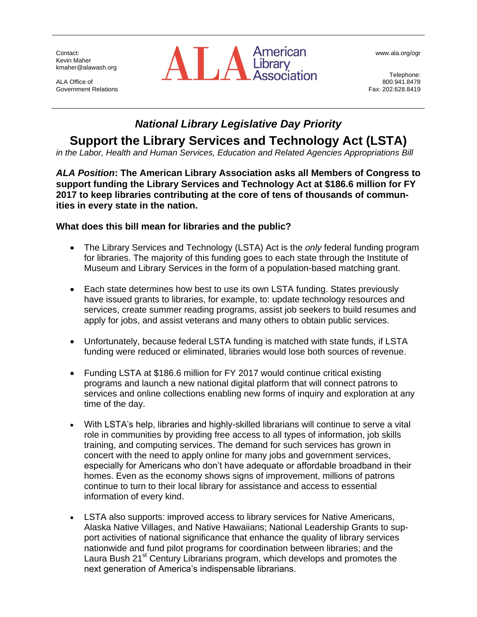Contact: Kevin Maher kmaher@alawash.org

ALA Office of Government Relations



www.ala.org/ogr

Telephone: 800.941.8478 Fax: 202.628.8419

# *National Library Legislative Day Priority*

**Support the Library Services and Technology Act (LSTA)**

*in the Labor, Health and Human Services, Education and Related Agencies Appropriations Bill*

*ALA Position***: The American Library Association asks all Members of Congress to support funding the Library Services and Technology Act at \$186.6 million for FY 2017 to keep libraries contributing at the core of tens of thousands of communities in every state in the nation.**

#### **What does this bill mean for libraries and the public?**

- The Library Services and Technology (LSTA) Act is the *only* federal funding program for libraries. The majority of this funding goes to each state through the Institute of Museum and Library Services in the form of a population-based matching grant.
- Each state determines how best to use its own LSTA funding. States previously have issued grants to libraries, for example, to: update technology resources and services, create summer reading programs, assist job seekers to build resumes and apply for jobs, and assist veterans and many others to obtain public services.
- Unfortunately, because federal LSTA funding is matched with state funds, if LSTA funding were reduced or eliminated, libraries would lose both sources of revenue.
- Funding LSTA at \$186.6 million for FY 2017 would continue critical existing programs and launch a new national digital platform that will connect patrons to services and online collections enabling new forms of inquiry and exploration at any time of the day.
- With LSTA's help, libraries and highly-skilled librarians will continue to serve a vital role in communities by providing free access to all types of information, job skills training, and computing services. The demand for such services has grown in concert with the need to apply online for many jobs and government services, especially for Americans who don't have adequate or affordable broadband in their homes. Even as the economy shows signs of improvement, millions of patrons continue to turn to their local library for assistance and access to essential information of every kind.
- LSTA also supports: improved access to library services for Native Americans, Alaska Native Villages, and Native Hawaiians; National Leadership Grants to support activities of national significance that enhance the quality of library services nationwide and fund pilot programs for coordination between libraries; and the Laura Bush 21<sup>st</sup> Century Librarians program, which develops and promotes the next generation of America's indispensable librarians.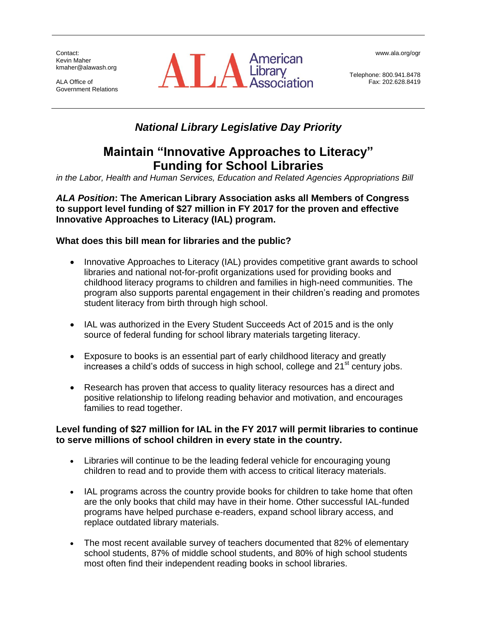Contact: Kevin Maher kmaher@alawash.org

ALA Office of Government Relations



www.ala.org/ogr

Telephone: 800.941.8478 Fax: 202.628.8419

# *National Library Legislative Day Priority*

# **Maintain "Innovative Approaches to Literacy" Funding for School Libraries**

*in the Labor, Health and Human Services, Education and Related Agencies Appropriations Bill*

*ALA Position***: The American Library Association asks all Members of Congress to support level funding of \$27 million in FY 2017 for the proven and effective Innovative Approaches to Literacy (IAL) program.**

### **What does this bill mean for libraries and the public?**

- Innovative Approaches to Literacy (IAL) provides competitive grant awards to school libraries and national not-for-profit organizations used for providing books and childhood literacy programs to children and families in high-need communities. The program also supports parental engagement in their children's reading and promotes student literacy from birth through high school.
- IAL was authorized in the Every Student Succeeds Act of 2015 and is the only source of federal funding for school library materials targeting literacy.
- Exposure to books is an essential part of early childhood literacy and greatly increases a child's odds of success in high school, college and  $21<sup>st</sup>$  century jobs.
- Research has proven that access to quality literacy resources has a direct and positive relationship to lifelong reading behavior and motivation, and encourages families to read together.

### **Level funding of \$27 million for IAL in the FY 2017 will permit libraries to continue to serve millions of school children in every state in the country.**

- Libraries will continue to be the leading federal vehicle for encouraging young children to read and to provide them with access to critical literacy materials.
- IAL programs across the country provide books for children to take home that often are the only books that child may have in their home. Other successful IAL-funded programs have helped purchase e-readers, expand school library access, and replace outdated library materials.
- The most recent available survey of teachers documented that 82% of elementary school students, 87% of middle school students, and 80% of high school students most often find their independent reading books in school libraries.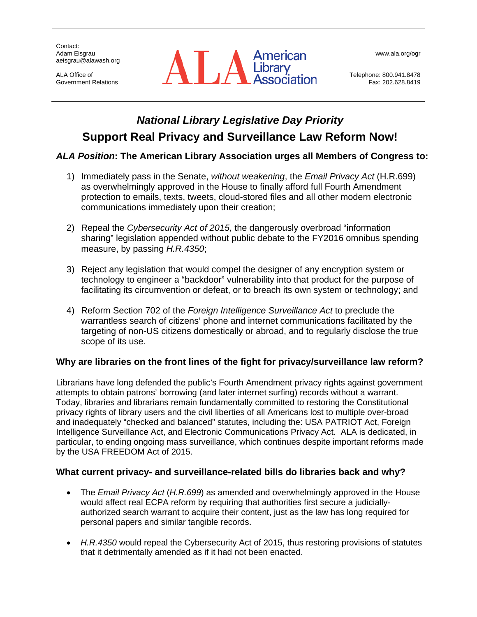Contact: Adam Eisgrau aeisgrau@alawash.org

ALA Office of Government Relations



www.ala.org/ogr

Telephone: 800.941.8478 Fax: 202.628.8419

# *National Library Legislative Day Priority* **Support Real Privacy and Surveillance Law Reform Now!**

### *ALA Position***: The American Library Association urges all Members of Congress to:**

- 1) Immediately pass in the Senate, *without weakening*, the *Email Privacy Act* (H.R.699) as overwhelmingly approved in the House to finally afford full Fourth Amendment protection to emails, texts, tweets, cloud-stored files and all other modern electronic communications immediately upon their creation;
- 2) Repeal the *Cybersecurity Act of 2015*, the dangerously overbroad "information sharing" legislation appended without public debate to the FY2016 omnibus spending measure, by passing *H.R.4350*;
- 3) Reject any legislation that would compel the designer of any encryption system or technology to engineer a "backdoor" vulnerability into that product for the purpose of facilitating its circumvention or defeat, or to breach its own system or technology; and
- 4) Reform Section 702 of the *Foreign Intelligence Surveillance Act* to preclude the warrantless search of citizens' phone and internet communications facilitated by the targeting of non-US citizens domestically or abroad, and to regularly disclose the true scope of its use.

### **Why are libraries on the front lines of the fight for privacy/surveillance law reform?**

Librarians have long defended the public's Fourth Amendment privacy rights against government attempts to obtain patrons' borrowing (and later internet surfing) records without a warrant. Today, libraries and librarians remain fundamentally committed to restoring the Constitutional privacy rights of library users and the civil liberties of all Americans lost to multiple over-broad and inadequately "checked and balanced" statutes, including the: USA PATRIOT Act, Foreign Intelligence Surveillance Act, and Electronic Communications Privacy Act. ALA is dedicated, in particular, to ending ongoing mass surveillance, which continues despite important reforms made by the USA FREEDOM Act of 2015.

### **What current privacy- and surveillance-related bills do libraries back and why?**

- The *Email Privacy Act* (*H.R.699*) as amended and overwhelmingly approved in the House would affect real ECPA reform by requiring that authorities first secure a judiciallyauthorized search warrant to acquire their content, just as the law has long required for personal papers and similar tangible records.
- *H.R.4350* would repeal the Cybersecurity Act of 2015, thus restoring provisions of statutes that it detrimentally amended as if it had not been enacted.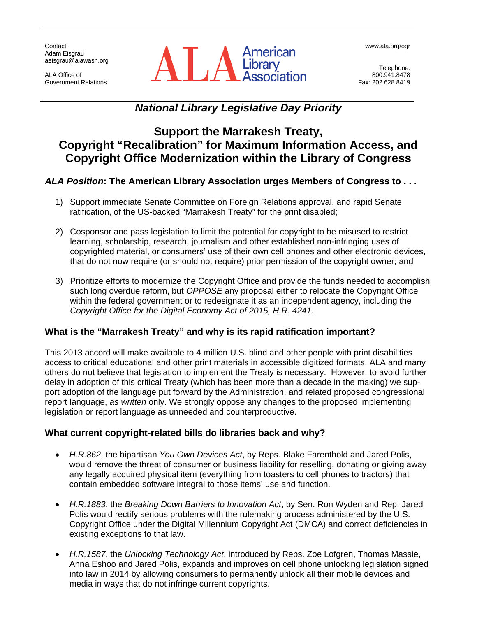**Contact** Adam Eisgrau aeisgrau@alawash.org

ALA Office of Government Relations



Telephone: 800.941.8478 Fax: 202.628.8419

### *National Library Legislative Day Priority*

### **Support the Marrakesh Treaty, Copyright "Recalibration" for Maximum Information Access, and Copyright Office Modernization within the Library of Congress**

### *ALA Position***: The American Library Association urges Members of Congress to . . .**

- 1) Support immediate Senate Committee on Foreign Relations approval, and rapid Senate ratification, of the US-backed "Marrakesh Treaty" for the print disabled;
- 2) Cosponsor and pass legislation to limit the potential for copyright to be misused to restrict learning, scholarship, research, journalism and other established non-infringing uses of copyrighted material, or consumers' use of their own cell phones and other electronic devices, that do not now require (or should not require) prior permission of the copyright owner; and
- 3) Prioritize efforts to modernize the Copyright Office and provide the funds needed to accomplish such long overdue reform, but *OPPOSE* any proposal either to relocate the Copyright Office within the federal government or to redesignate it as an independent agency, including the *Copyright Office for the Digital Economy Act of 2015, H.R. 4241*.

#### **What is the "Marrakesh Treaty" and why is its rapid ratification important?**

This 2013 accord will make available to 4 million U.S. blind and other people with print disabilities access to critical educational and other print materials in accessible digitized formats. ALA and many others do not believe that legislation to implement the Treaty is necessary. However, to avoid further delay in adoption of this critical Treaty (which has been more than a decade in the making) we support adoption of the language put forward by the Administration, and related proposed congressional report language, *as written* only. We strongly oppose any changes to the proposed implementing legislation or report language as unneeded and counterproductive.

#### **What current copyright-related bills do libraries back and why?**

- *H.R.862*, the bipartisan *You Own Devices Act*, by Reps. Blake Farenthold and Jared Polis, would remove the threat of consumer or business liability for reselling, donating or giving away any legally acquired physical item (everything from toasters to cell phones to tractors) that contain embedded software integral to those items' use and function.
- *H.R.1883*, the *Breaking Down Barriers to Innovation Act*, by Sen. Ron Wyden and Rep. Jared Polis would rectify serious problems with the rulemaking process administered by the U.S. Copyright Office under the Digital Millennium Copyright Act (DMCA) and correct deficiencies in existing exceptions to that law.
- *H.R.1587*, the *Unlocking Technology Act*, introduced by Reps. Zoe Lofgren, Thomas Massie, Anna Eshoo and Jared Polis, expands and improves on cell phone unlocking legislation signed into law in 2014 by allowing consumers to permanently unlock all their mobile devices and media in ways that do not infringe current copyrights.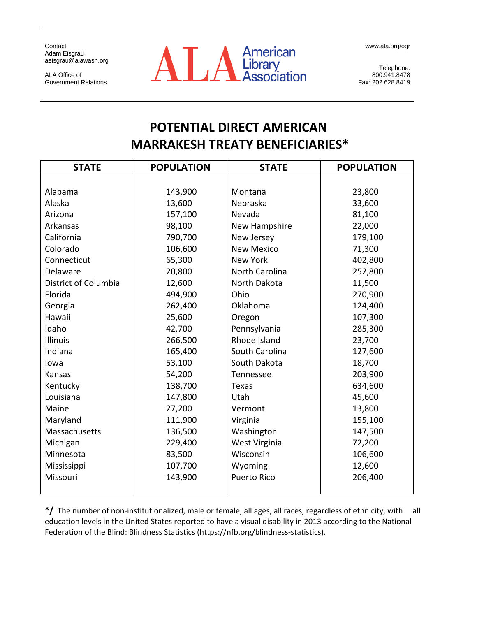www.ala.org/ogr

Contact Adam Eisgrau aeisgrau@alawash.org

ALA Office of Government Relations



Telephone: 800.941.8478 Fax: 202.628.8419

# **POTENTIAL DIRECT AMERICAN MARRAKESH TREATY BENEFICIARIES\***

| <b>STATE</b>         | <b>POPULATION</b> | <b>STATE</b>       | <b>POPULATION</b> |
|----------------------|-------------------|--------------------|-------------------|
|                      |                   |                    |                   |
| Alabama              | 143,900           | Montana            | 23,800            |
| Alaska               | 13,600            | Nebraska           | 33,600            |
| Arizona              | 157,100           | Nevada             | 81,100            |
| Arkansas             | 98,100            | New Hampshire      | 22,000            |
| California           | 790,700           | New Jersey         | 179,100           |
| Colorado             | 106,600           | <b>New Mexico</b>  | 71,300            |
| Connecticut          | 65,300            | <b>New York</b>    | 402,800           |
| Delaware             | 20,800            | North Carolina     | 252,800           |
| District of Columbia | 12,600            | North Dakota       | 11,500            |
| Florida              | 494,900           | Ohio               | 270,900           |
| Georgia              | 262,400           | Oklahoma           | 124,400           |
| Hawaii               | 25,600            | Oregon             | 107,300           |
| Idaho                | 42,700            | Pennsylvania       | 285,300           |
| <b>Illinois</b>      | 266,500           | Rhode Island       | 23,700            |
| Indiana              | 165,400           | South Carolina     | 127,600           |
| lowa                 | 53,100            | South Dakota       | 18,700            |
| Kansas               | 54,200            | Tennessee          | 203,900           |
| Kentucky             | 138,700           | Texas              | 634,600           |
| Louisiana            | 147,800           | Utah               | 45,600            |
| Maine                | 27,200            | Vermont            | 13,800            |
| Maryland             | 111,900           | Virginia           | 155,100           |
| Massachusetts        | 136,500           | Washington         | 147,500           |
| Michigan             | 229,400           | West Virginia      | 72,200            |
| Minnesota            | 83,500            | Wisconsin          | 106,600           |
| Mississippi          | 107,700           | Wyoming            | 12,600            |
| Missouri             | 143,900           | <b>Puerto Rico</b> | 206,400           |
|                      |                   |                    |                   |

**\*/** The number of non-institutionalized, male or female, all ages, all races, regardless of ethnicity, with all education levels in the United States reported to have a visual disability in 2013 according to the National Federation of the Blind: Blindness Statistics (https://nfb.org/blindness-statistics).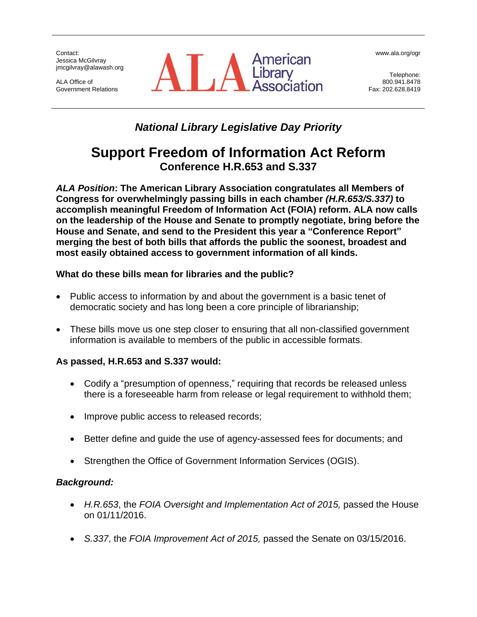Contact: Jessica McGilvray jmcgilvray@alawash.org

ALA Office of Government Relations



www.ala.org/ogr

Telephone: 800.941.8478 Fax: 202.628.8419

# *National Library Legislative Day Priority*

# **Support Freedom of Information Act Reform Conference H.R.653 and S.337**

*ALA Position***: The American Library Association congratulates all Members of Congress for overwhelmingly passing bills in each chamber** *(H.R.653/S.337)* **to accomplish meaningful Freedom of Information Act (FOIA) reform. ALA now calls on the leadership of the House and Senate to promptly negotiate, bring before the House and Senate, and send to the President this year a "Conference Report" merging the best of both bills that affords the public the soonest, broadest and most easily obtained access to government information of all kinds.** 

### **What do these bills mean for libraries and the public?**

- Public access to information by and about the government is a basic tenet of democratic society and has long been a core principle of librarianship;
- These bills move us one step closer to ensuring that all non-classified government information is available to members of the public in accessible formats.

### **As passed, H.R.653 and S.337 would:**

- Codify a "presumption of openness," requiring that records be released unless there is a foreseeable harm from release or legal requirement to withhold them;
- Improve public access to released records;
- Better define and guide the use of agency-assessed fees for documents; and
- Strengthen the Office of Government Information Services (OGIS).

### *Background:*

- *H.R.653*, the *FOIA Oversight and Implementation Act of 2015,* passed the House on 01/11/2016.
- *S.337*, the *FOIA Improvement Act of 2015,* passed the Senate on 03/15/2016.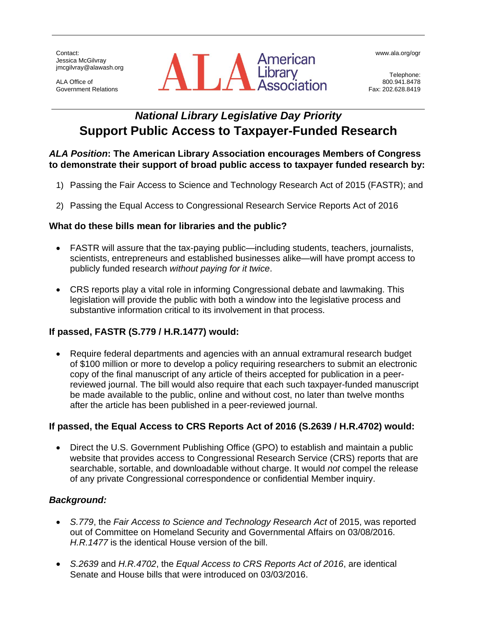Contact: Jessica McGilvray jmcgilvray@alawash.org

ALA Office of Government Relations



www.ala.org/ogr

Telephone: 800.941.8478 Fax: 202.628.8419

# *National Library Legislative Day Priority* **Support Public Access to Taxpayer-Funded Research**

#### *ALA Position***: The American Library Association encourages Members of Congress to demonstrate their support of broad public access to taxpayer funded research by:**

- 1) Passing the Fair Access to Science and Technology Research Act of 2015 (FASTR); and
- 2) Passing the Equal Access to Congressional Research Service Reports Act of 2016

### **What do these bills mean for libraries and the public?**

- FASTR will assure that the tax-paying public—including students, teachers, journalists, scientists, entrepreneurs and established businesses alike—will have prompt access to publicly funded research *without paying for it twice*.
- CRS reports play a vital role in informing Congressional debate and lawmaking. This legislation will provide the public with both a window into the legislative process and substantive information critical to its involvement in that process.

### **If passed, FASTR (S.779 / H.R.1477) would:**

 Require federal departments and agencies with an annual extramural research budget of \$100 million or more to develop a policy requiring researchers to submit an electronic copy of the final manuscript of any article of theirs accepted for publication in a peerreviewed journal. The bill would also require that each such taxpayer-funded manuscript be made available to the public, online and without cost, no later than twelve months after the article has been published in a peer-reviewed journal.

### **If passed, the Equal Access to CRS Reports Act of 2016 (S.2639 / H.R.4702) would:**

 Direct the U.S. Government Publishing Office (GPO) to establish and maintain a public website that provides access to Congressional Research Service (CRS) reports that are searchable, sortable, and downloadable without charge. It would *not* compel the release of any private Congressional correspondence or confidential Member inquiry.

### *Background:*

- *S.779*, the *Fair Access to Science and Technology Research Act* of 2015, was reported out of Committee on Homeland Security and Governmental Affairs on 03/08/2016. *H.R.1477* is the identical House version of the bill.
- *S.2639* and *H.R.4702*, the *Equal Access to CRS Reports Act of 2016*, are identical Senate and House bills that were introduced on 03/03/2016.